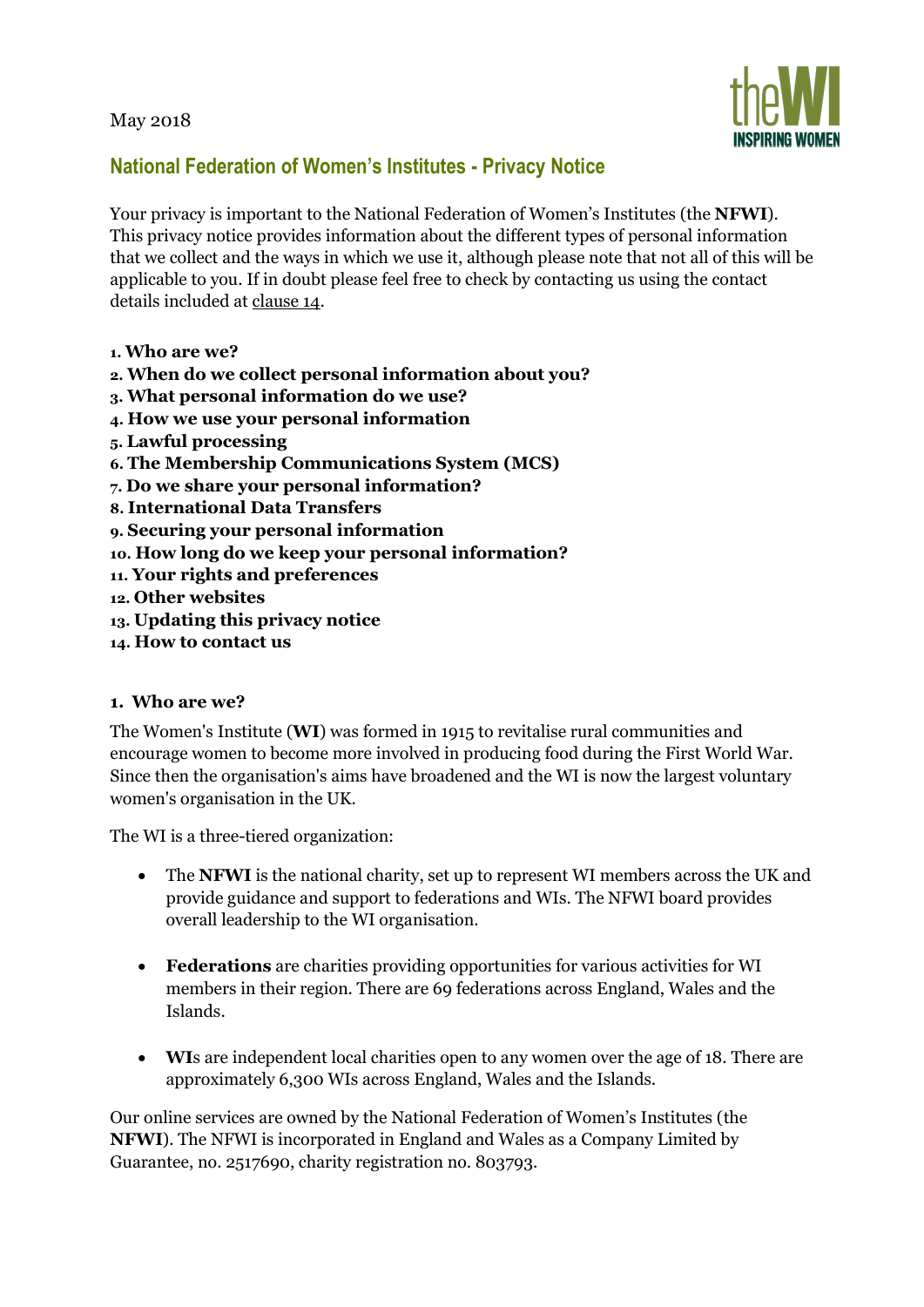May 2018



# **National Federation of Women's Institutes - Privacy Notice**

Your privacy is important to the National Federation of Women's Institutes (the **NFWI**). This privacy notice provides information about the different types of personal information that we collect and the ways in which we use it, although please note that not all of this will be applicable to you. If in doubt please feel free to check by contacting us using the contact details included at clause 14.

- **1. Who are we?**
- **2. When do we collect personal information about you?**
- **3. What personal information do we use?**
- **4. How we use your personal information**
- **5. Lawful processing**
- **6. The Membership Communications System (MCS)**
- **7. Do we share your personal information?**
- **8. International Data Transfers**
- **9. Securing your personal information**
- **10. How long do we keep your personal information?**
- **11. Your rights and preferences**
- **12. Other websites**
- **13. Updating this privacy notice**
- **14. How to contact us**

#### **1. Who are we?**

The Women's Institute (**WI**) was formed in 1915 to revitalise rural communities and encourage women to become more involved in producing food during the First World War. Since then the organisation's aims have broadened and the WI is now the largest voluntary women's organisation in the UK.

The WI is a three-tiered organization:

- The **NFWI** is the national charity, set up to represent WI members across the UK and provide guidance and support to federations and WIs. The NFWI board provides overall leadership to the WI organisation.
- **Federations** are charities providing opportunities for various activities for WI members in their region. There are 69 federations across England, Wales and the Islands.
- **WI**s are independent local charities open to any women over the age of 18. There are approximately 6,300 WIs across England, Wales and the Islands.

Our online services are owned by the National Federation of Women's Institutes (the **NFWI**). The NFWI is incorporated in England and Wales as a Company Limited by Guarantee, no. 2517690, charity registration no. 803793.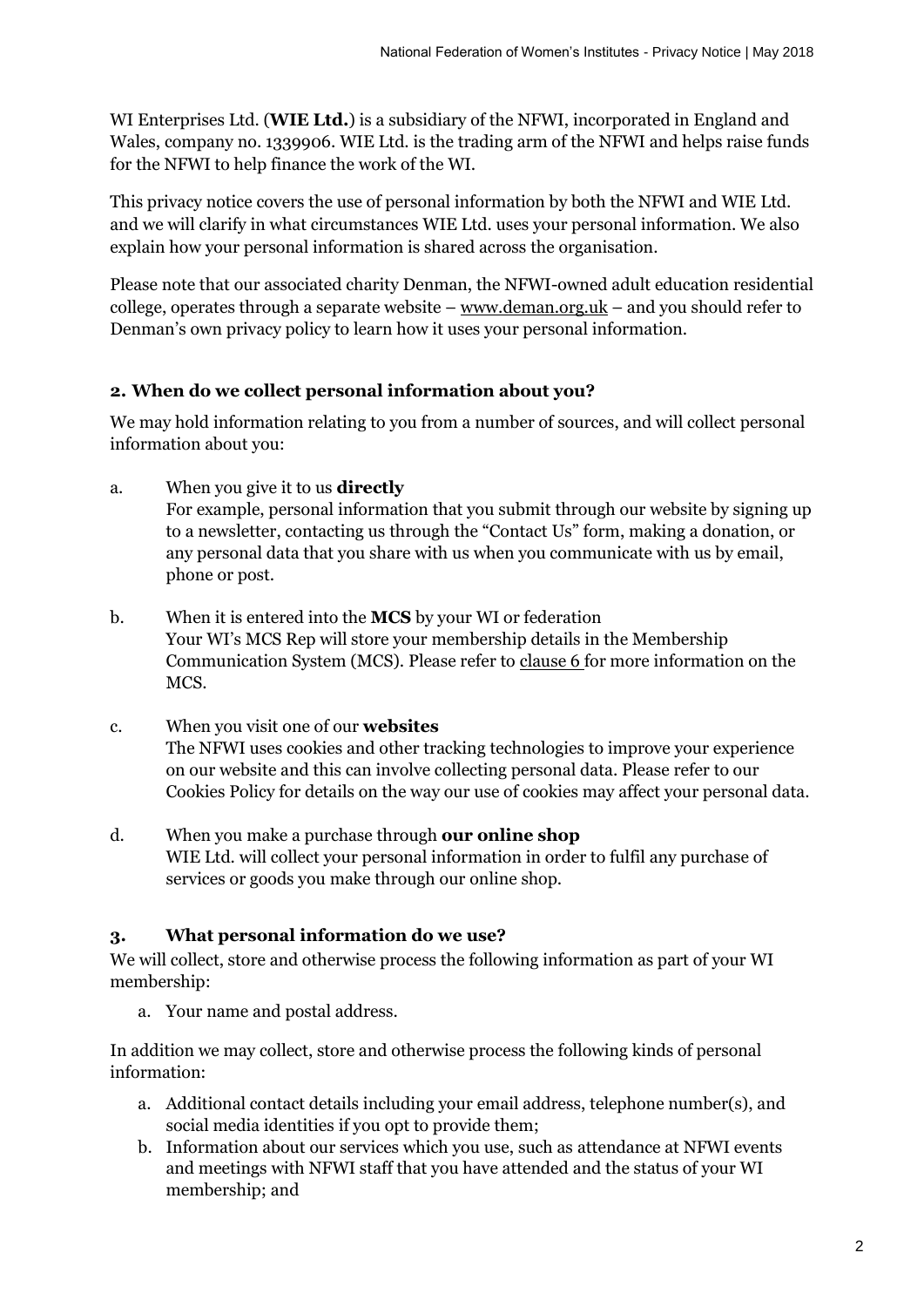WI Enterprises Ltd. (**WIE Ltd.**) is a subsidiary of the NFWI, incorporated in England and Wales, company no. 1339906. WIE Ltd. is the trading arm of the NFWI and helps raise funds for the NFWI to help finance the work of the WI.

This privacy notice covers the use of personal information by both the NFWI and WIE Ltd. and we will clarify in what circumstances WIE Ltd. uses your personal information. We also explain how your personal information is shared across the organisation.

Please note that our associated charity Denman, the NFWI-owned adult education residential college, operates through a separate website –  $www.deman.org.uk - and you should refer to$  $www.deman.org.uk - and you should refer to$ Denman's own privacy policy to learn how it uses your personal information.

## **2. When do we collect personal information about you?**

We may hold information relating to you from a number of sources, and will collect personal information about you:

a. When you give it to us **directly**

For example, personal information that you submit through our website by signing up to a newsletter, contacting us through the "Contact Us" form, making a donation, or any personal data that you share with us when you communicate with us by email, phone or post.

- b. When it is entered into the **MCS** by your WI or federation Your WI's MCS Rep will store your membership details in the Membership Communication System (MCS). Please refer to clause 6 for more information on the MCS.
- c. When you visit one of our **websites** The NFWI uses cookies and other tracking technologies to improve your experience on our website and this can involve collecting personal data. Please refer to our Cookies Policy for details on the way our use of cookies may affect your personal data.
- d. When you make a purchase through **our online shop** WIE Ltd. will collect your personal information in order to fulfil any purchase of services or goods you make through our online shop.

## **3. What personal information do we use?**

We will collect, store and otherwise process the following information as part of your WI membership:

a. Your name and postal address.

In addition we may collect, store and otherwise process the following kinds of personal information:

- a. Additional contact details including your email address, telephone number(s), and social media identities if you opt to provide them;
- b. Information about our services which you use, such as attendance at NFWI events and meetings with NFWI staff that you have attended and the status of your WI membership; and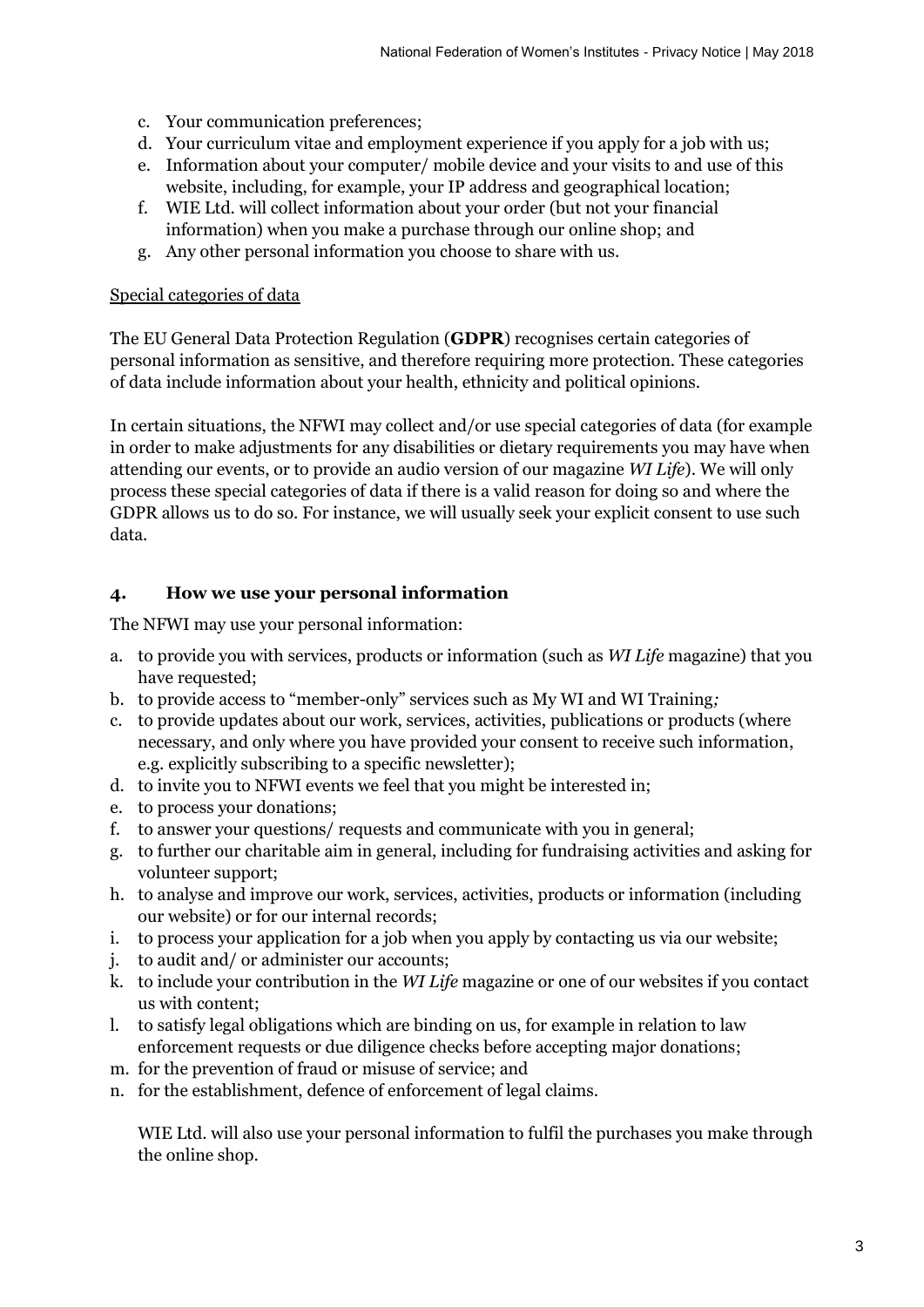- c. Your communication preferences;
- d. Your curriculum vitae and employment experience if you apply for a job with us;
- e. Information about your computer/ mobile device and your visits to and use of this website, including, for example, your IP address and geographical location;
- f. WIE Ltd. will collect information about your order (but not your financial information) when you make a purchase through our online shop; and
- g. Any other personal information you choose to share with us.

#### Special categories of data

The EU General Data Protection Regulation (**GDPR**) recognises certain categories of personal information as sensitive, and therefore requiring more protection. These categories of data include information about your health, ethnicity and political opinions.

In certain situations, the NFWI may collect and/or use special categories of data (for example in order to make adjustments for any disabilities or dietary requirements you may have when attending our events, or to provide an audio version of our magazine *WI Life*). We will only process these special categories of data if there is a valid reason for doing so and where the GDPR allows us to do so. For instance, we will usually seek your explicit consent to use such data.

## **4. How we use your personal information**

The NFWI may use your personal information:

- a. to provide you with services, products or information (such as *WI Life* magazine) that you have requested;
- b. to provide access to "member-only" services such as My WI and WI Training*;*
- c. to provide updates about our work, services, activities, publications or products (where necessary, and only where you have provided your consent to receive such information, e.g. explicitly subscribing to a specific newsletter);
- d. to invite you to NFWI events we feel that you might be interested in;
- e. to process your donations;
- f. to answer your questions/ requests and communicate with you in general;
- g. to further our charitable aim in general, including for fundraising activities and asking for volunteer support;
- h. to analyse and improve our work, services, activities, products or information (including our website) or for our internal records;
- i. to process your application for a job when you apply by contacting us via our website;
- j. to audit and/ or administer our accounts;
- k. to include your contribution in the *WI Life* magazine or one of our websites if you contact us with content;
- l. to satisfy legal obligations which are binding on us, for example in relation to law enforcement requests or due diligence checks before accepting major donations;
- m. for the prevention of fraud or misuse of service; and
- n. for the establishment, defence of enforcement of legal claims.

WIE Ltd. will also use your personal information to fulfil the purchases you make through the online shop.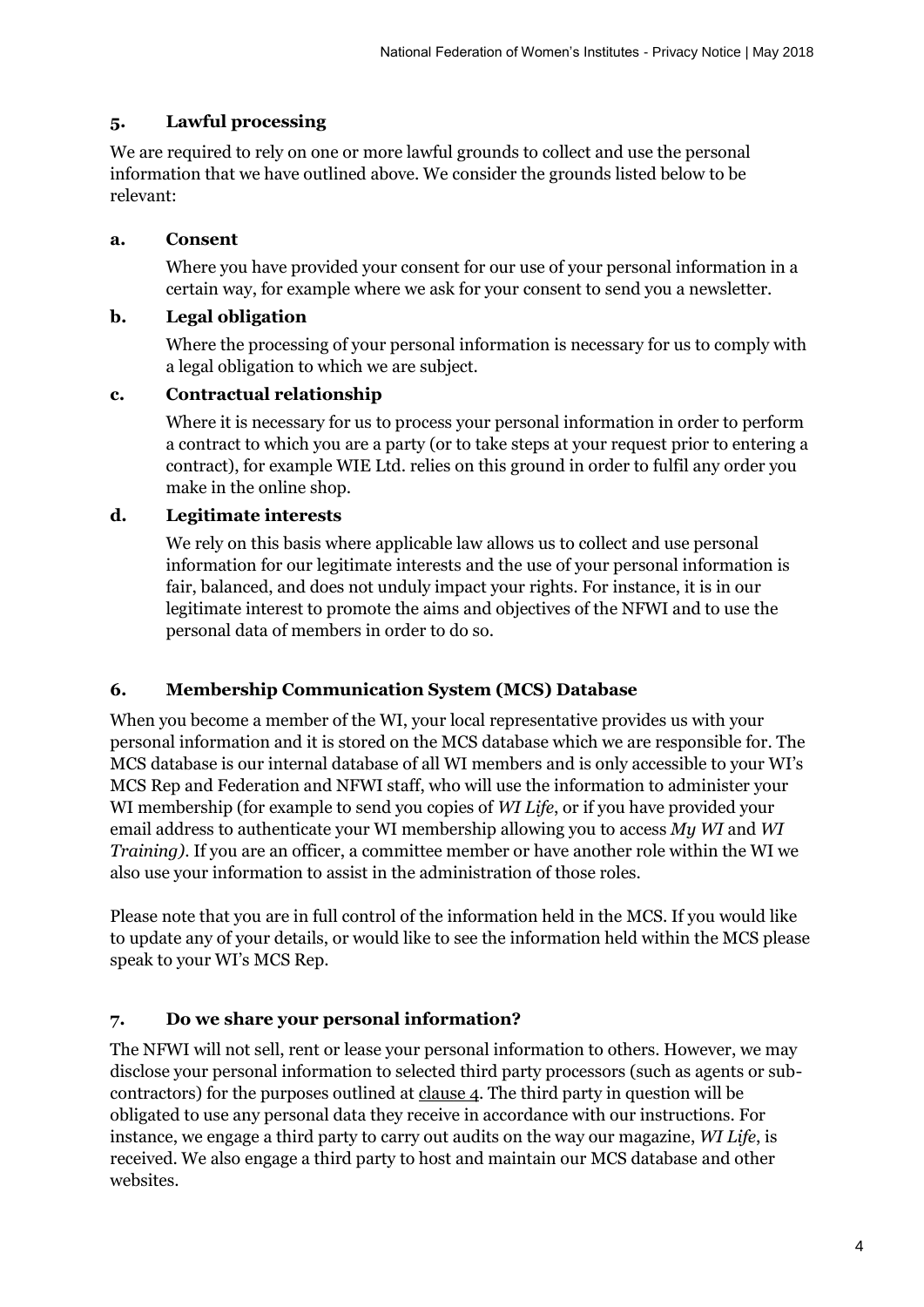## **5. Lawful processing**

We are required to rely on one or more lawful grounds to collect and use the personal information that we have outlined above. We consider the grounds listed below to be relevant:

## **a. Consent**

Where you have provided your consent for our use of your personal information in a certain way, for example where we ask for your consent to send you a newsletter.

#### **b. Legal obligation**

Where the processing of your personal information is necessary for us to comply with a legal obligation to which we are subject.

#### **c. Contractual relationship**

Where it is necessary for us to process your personal information in order to perform a contract to which you are a party (or to take steps at your request prior to entering a contract), for example WIE Ltd. relies on this ground in order to fulfil any order you make in the online shop.

#### **d. Legitimate interests**

We rely on this basis where applicable law allows us to collect and use personal information for our legitimate interests and the use of your personal information is fair, balanced, and does not unduly impact your rights. For instance, it is in our legitimate interest to promote the aims and objectives of the NFWI and to use the personal data of members in order to do so.

## **6. Membership Communication System (MCS) Database**

When you become a member of the WI, your local representative provides us with your personal information and it is stored on the MCS database which we are responsible for. The MCS database is our internal database of all WI members and is only accessible to your WI's MCS Rep and Federation and NFWI staff, who will use the information to administer your WI membership (for example to send you copies of *WI Life*, or if you have provided your email address to authenticate your WI membership allowing you to access *My WI* and *WI Training)*. If you are an officer, a committee member or have another role within the WI we also use your information to assist in the administration of those roles.

Please note that you are in full control of the information held in the MCS. If you would like to update any of your details, or would like to see the information held within the MCS please speak to your WI's MCS Rep.

## **7. Do we share your personal information?**

The NFWI will not sell, rent or lease your personal information to others. However, we may disclose your personal information to selected third party processors (such as agents or subcontractors) for the purposes outlined at  $_{\text{clause 4}}$ . The third party in question will be obligated to use any personal data they receive in accordance with our instructions. For instance, we engage a third party to carry out audits on the way our magazine, *WI Life*, is received. We also engage a third party to host and maintain our MCS database and other websites.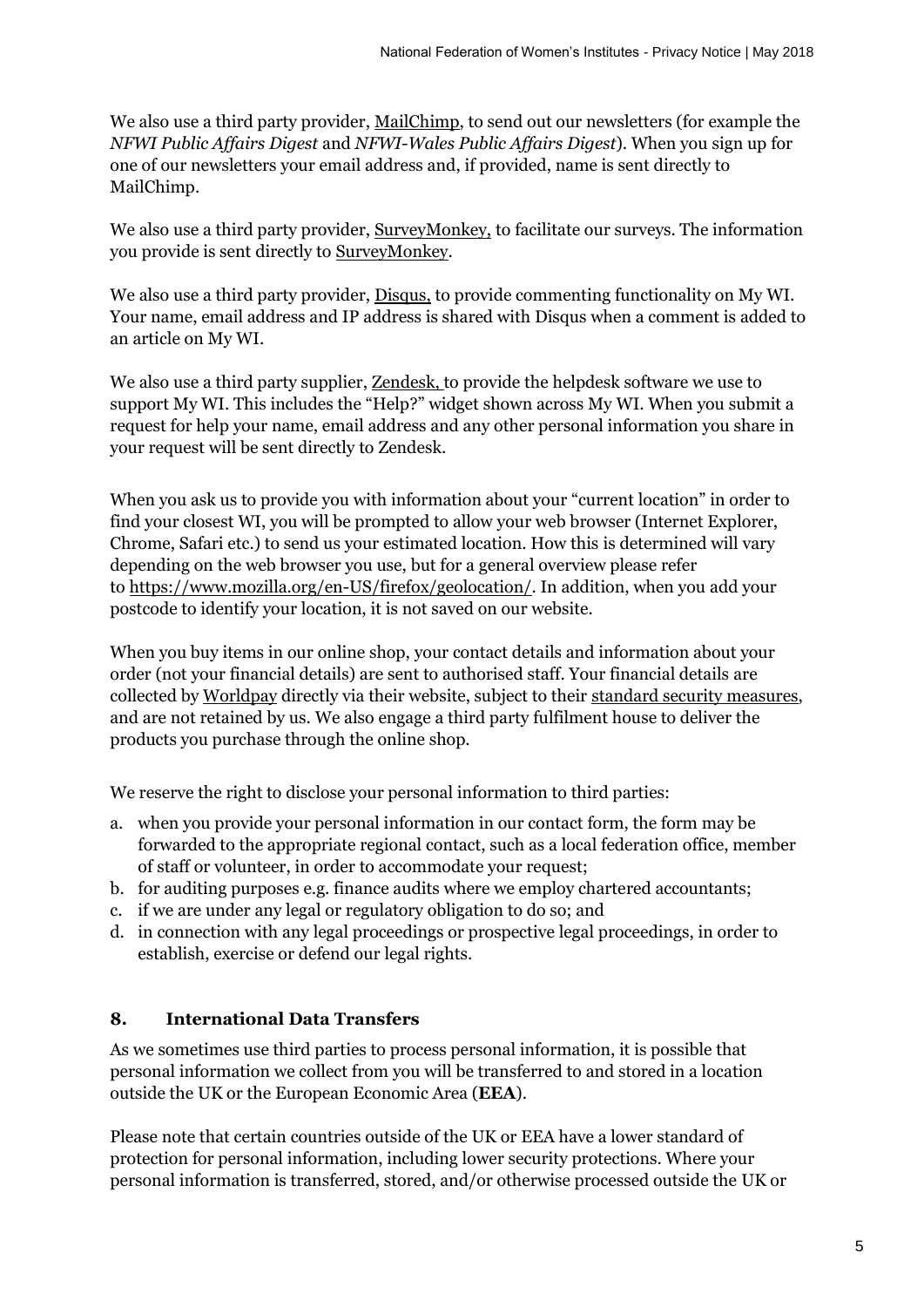We also use a third party provider, [MailChimp,](http://www.mailchimp.com/) to send out our newsletters (for example the *NFWI Public Affairs Digest* and *NFWI-Wales Public Affairs Digest*). When you sign up for one of our newsletters your email address and, if provided, name is sent directly to MailChimp.

We also use a third party provider, [SurveyMonkey,](https://www.surveymonkey.co.uk/) to facilitate our surveys. The information you provide is sent directly to [SurveyMonkey.](https://www.surveymonkey.co.uk/)

We also use a third party provider, **Disqus**, to provide commenting functionality on My WI. Your name, email address and IP address is shared with Disqus when a comment is added to an article on My WI.

We also use a third party supplier, [Zendesk,](https://www.zendesk.co.uk/) to provide the helpdesk software we use to support My WI. This includes the "Help?" widget shown across My WI. When you submit a request for help your name, email address and any other personal information you share in your request will be sent directly to Zendesk.

When you ask us to provide you with information about your "current location" in order to find your closest WI, you will be prompted to allow your web browser (Internet Explorer, Chrome, Safari etc.) to send us your estimated location. How this is determined will vary depending on the web browser you use, but for a general overview please refer to [https://www.mozilla.org/en-US/firefox/geolocation/.](https://www.mozilla.org/en-US/firefox/geolocation) In addition, when you add your postcode to identify your location, it is not saved on our website.

When you buy items in our online shop, your contact details and information about your order (not your financial details) are sent to authorised staff. Your financial details are collected by [Worldpay](http://www.worldpay.co.uk/) directly via their website, subject to their [standard security measures,](https://secure.worldpay.com/global3/brands/worldpay/payment/default/help_security_en.html) and are not retained by us. We also engage a third party fulfilment house to deliver the products you purchase through the online shop.

We reserve the right to disclose your personal information to third parties:

- a. when you provide your personal information in our contact form, the form may be forwarded to the appropriate regional contact, such as a local federation office, member of staff or volunteer, in order to accommodate your request;
- b. for auditing purposes e.g. finance audits where we employ chartered accountants;
- c. if we are under any legal or regulatory obligation to do so; and
- d. in connection with any legal proceedings or prospective legal proceedings, in order to establish, exercise or defend our legal rights.

## **8. International Data Transfers**

As we sometimes use third parties to process personal information, it is possible that personal information we collect from you will be transferred to and stored in a location outside the UK or the European Economic Area (**EEA**).

Please note that certain countries outside of the UK or EEA have a lower standard of protection for personal information, including lower security protections. Where your personal information is transferred, stored, and/or otherwise processed outside the UK or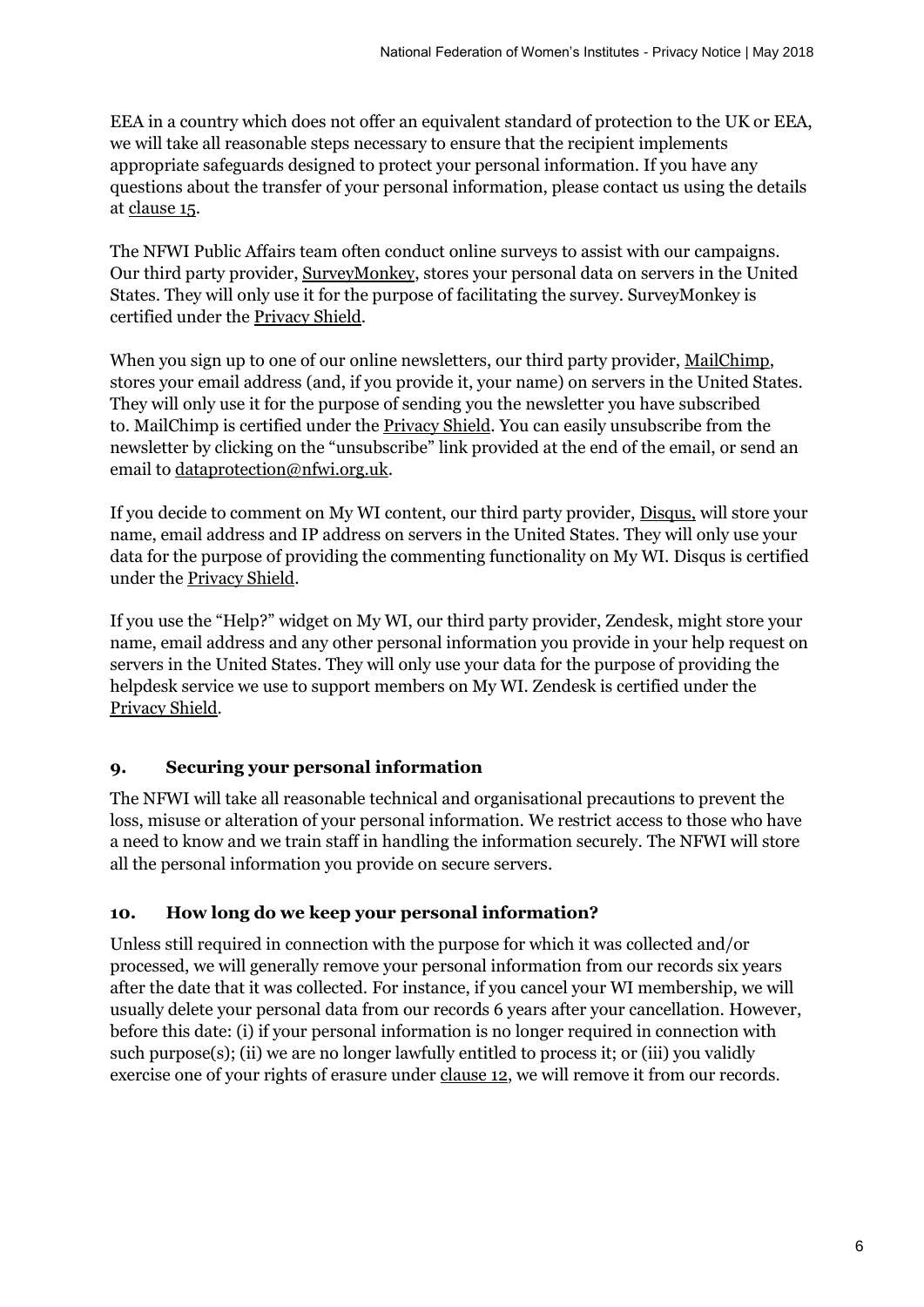EEA in a country which does not offer an equivalent standard of protection to the UK or EEA, we will take all reasonable steps necessary to ensure that the recipient implements appropriate safeguards designed to protect your personal information. If you have any questions about the transfer of your personal information, please contact us using the details at clause 15.

The NFWI Public Affairs team often conduct online surveys to assist with our campaigns. Our third party provider, [SurveyMonkey,](https://www.surveymonkey.co.uk/) stores your personal data on servers in the United States. They will only use it for the purpose of facilitating the survey. SurveyMonkey is certified under th[e Privacy Shield.](http://www.privacyshield.gov/)

When you sign up to one of our online newsletters, our third party provider, [MailChimp,](https://mailchimp.com/) stores your email address (and, if you provide it, your name) on servers in the United States. They will only use it for the purpose of sending you the newsletter you have subscribed to. MailChimp is certified under the [Privacy Shield.](http://www.privacyshield.gov/) You can easily unsubscribe from the newsletter by clicking on the "unsubscribe" link provided at the end of the email, or send an email to [dataprotection@nfwi.org.uk.](mailto:dataprotection@nfwi.org.uk)

If you decide to comment on My WI content, our third party provider, [Disqus,](https://disqus.com/) will store your name, email address and IP address on servers in the United States. They will only use your data for the purpose of providing the commenting functionality on My WI. Disqus is certified under th[e Privacy Shield.](http://www.privacyshield.gov/)

If you use the "Help?" widget on My WI, our third party provider, Zendesk, might store your name, email address and any other personal information you provide in your help request on servers in the United States. They will only use your data for the purpose of providing the helpdesk service we use to support members on My WI. Zendesk is certified under the [Privacy Shield.](http://www.privacyshield.gov/)

## **9. Securing your personal information**

The NFWI will take all reasonable technical and organisational precautions to prevent the loss, misuse or alteration of your personal information. We restrict access to those who have a need to know and we train staff in handling the information securely. The NFWI will store all the personal information you provide on secure servers.

## **10. How long do we keep your personal information?**

Unless still required in connection with the purpose for which it was collected and/or processed, we will generally remove your personal information from our records six years after the date that it was collected. For instance, if you cancel your WI membership, we will usually delete your personal data from our records 6 years after your cancellation. However, before this date: (i) if your personal information is no longer required in connection with such purpose(s); (ii) we are no longer lawfully entitled to process it; or (iii) you validly exercise one of your rights of erasure under clause 12, we will remove it from our records.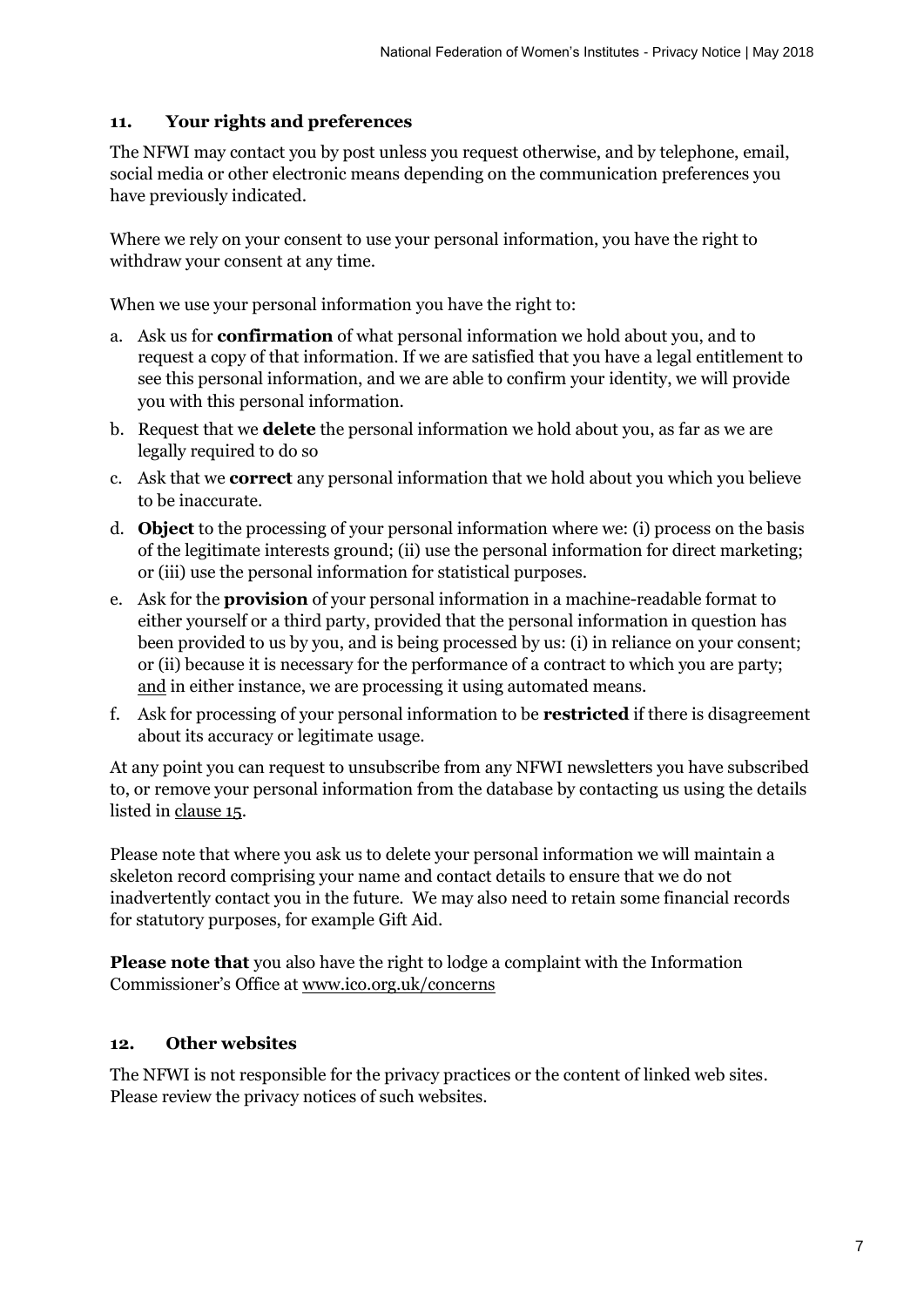## **11. Your rights and preferences**

The NFWI may contact you by post unless you request otherwise, and by telephone, email, social media or other electronic means depending on the communication preferences you have previously indicated.

Where we rely on your consent to use your personal information, you have the right to withdraw your consent at any time.

When we use your personal information you have the right to:

- a. Ask us for **confirmation** of what personal information we hold about you, and to request a copy of that information. If we are satisfied that you have a legal entitlement to see this personal information, and we are able to confirm your identity, we will provide you with this personal information.
- b. Request that we **delete** the personal information we hold about you, as far as we are legally required to do so
- c. Ask that we **correct** any personal information that we hold about you which you believe to be inaccurate.
- d. **Object** to the processing of your personal information where we: (i) process on the basis of the legitimate interests ground; (ii) use the personal information for direct marketing; or (iii) use the personal information for statistical purposes.
- e. Ask for the **provision** of your personal information in a machine-readable format to either yourself or a third party, provided that the personal information in question has been provided to us by you, and is being processed by us: (i) in reliance on your consent; or (ii) because it is necessary for the performance of a contract to which you are party; and in either instance, we are processing it using automated means.
- f. Ask for processing of your personal information to be **restricted** if there is disagreement about its accuracy or legitimate usage.

At any point you can request to unsubscribe from any NFWI newsletters you have subscribed to, or remove your personal information from the database by contacting us using the details listed in clause 15.

Please note that where you ask us to delete your personal information we will maintain a skeleton record comprising your name and contact details to ensure that we do not inadvertently contact you in the future. We may also need to retain some financial records for statutory purposes, for example Gift Aid.

**Please note that** you also have the right to lodge a complaint with the Information Commissioner's Office at [www.ico.org.uk/concerns](http://www.ico.org.uk/concerns)

## **12. Other websites**

The NFWI is not responsible for the privacy practices or the content of linked web sites. Please review the privacy notices of such websites.